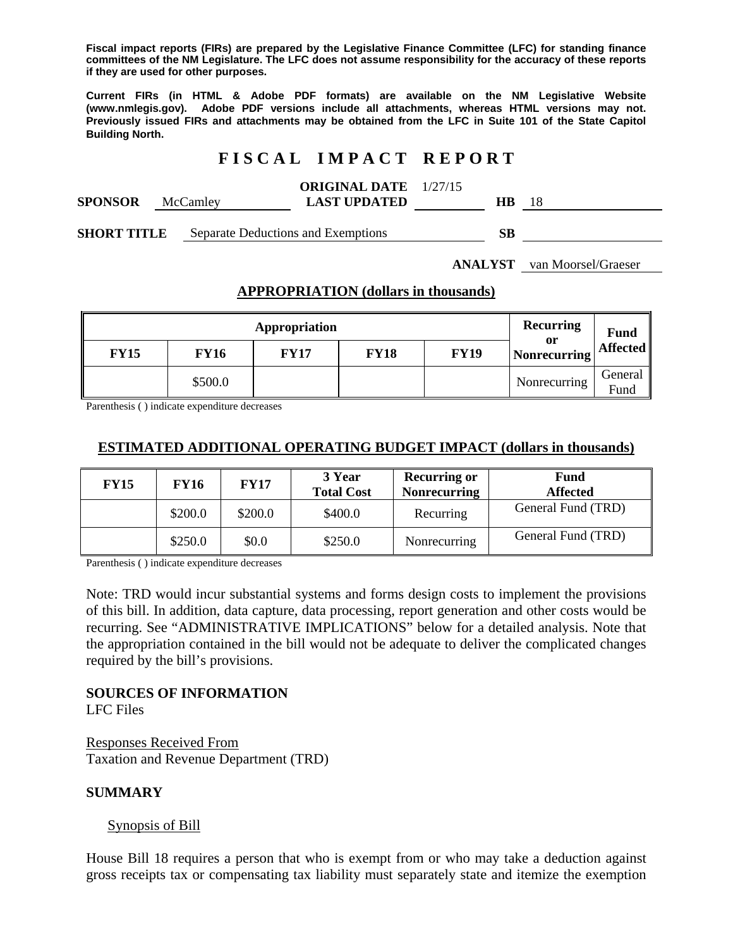**Fiscal impact reports (FIRs) are prepared by the Legislative Finance Committee (LFC) for standing finance committees of the NM Legislature. The LFC does not assume responsibility for the accuracy of these reports if they are used for other purposes.** 

**Current FIRs (in HTML & Adobe PDF formats) are available on the NM Legislative Website (www.nmlegis.gov). Adobe PDF versions include all attachments, whereas HTML versions may not. Previously issued FIRs and attachments may be obtained from the LFC in Suite 101 of the State Capitol Building North.**

# **F I S C A L I M P A C T R E P O R T**

|                                           |          |                        | <b>ORIGINAL DATE</b> 1/27/15 |            |  |
|-------------------------------------------|----------|------------------------|------------------------------|------------|--|
| <b>SPONSOR</b>                            | McCamley |                        | <b>LAST UPDATED</b>          | HВ         |  |
| $\alpha$ if $\alpha$ denotes the $\alpha$ |          | $\sim$ $\sim$ 1 $\sim$ |                              | $\alpha$ m |  |

**SHORT TITLE** Separate Deductions and Exemptions **SB** 

**ANALYST** van Moorsel/Graeser

### **APPROPRIATION (dollars in thousands)**

| Appropriation |             |             |             |             | Recurring<br>or | <b>Fund</b>     |
|---------------|-------------|-------------|-------------|-------------|-----------------|-----------------|
| <b>FY15</b>   | <b>FY16</b> | <b>FY17</b> | <b>FY18</b> | <b>FY19</b> | Nonrecurring    | Affected        |
|               | \$500.0     |             |             |             | Nonrecurring    | General<br>Fund |

Parenthesis ( ) indicate expenditure decreases

### **ESTIMATED ADDITIONAL OPERATING BUDGET IMPACT (dollars in thousands)**

| <b>FY15</b> | FY16    | <b>FY17</b> | 3 Year<br><b>Total Cost</b> | <b>Recurring or</b><br><b>Nonrecurring</b> | <b>Fund</b><br><b>Affected</b> |
|-------------|---------|-------------|-----------------------------|--------------------------------------------|--------------------------------|
|             | \$200.0 | \$200.0     | \$400.0                     | Recurring                                  | General Fund (TRD)             |
|             | \$250.0 | \$0.0       | \$250.0                     | Nonrecurring                               | General Fund (TRD)             |

Parenthesis ( ) indicate expenditure decreases

Note: TRD would incur substantial systems and forms design costs to implement the provisions of this bill. In addition, data capture, data processing, report generation and other costs would be recurring. See "ADMINISTRATIVE IMPLICATIONS" below for a detailed analysis. Note that the appropriation contained in the bill would not be adequate to deliver the complicated changes required by the bill's provisions.

### **SOURCES OF INFORMATION**

LFC Files

Responses Received From Taxation and Revenue Department (TRD)

### **SUMMARY**

### Synopsis of Bill

House Bill 18 requires a person that who is exempt from or who may take a deduction against gross receipts tax or compensating tax liability must separately state and itemize the exemption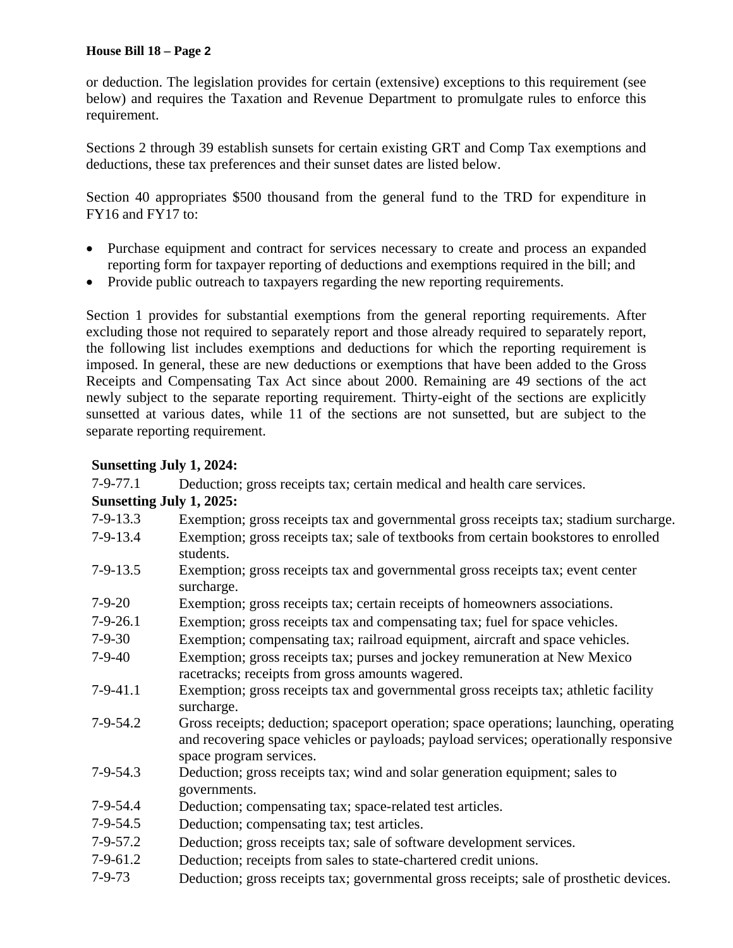or deduction. The legislation provides for certain (extensive) exceptions to this requirement (see below) and requires the Taxation and Revenue Department to promulgate rules to enforce this requirement.

Sections 2 through 39 establish sunsets for certain existing GRT and Comp Tax exemptions and deductions, these tax preferences and their sunset dates are listed below.

Section 40 appropriates \$500 thousand from the general fund to the TRD for expenditure in FY16 and FY17 to:

- Purchase equipment and contract for services necessary to create and process an expanded reporting form for taxpayer reporting of deductions and exemptions required in the bill; and
- Provide public outreach to taxpayers regarding the new reporting requirements.

Section 1 provides for substantial exemptions from the general reporting requirements. After excluding those not required to separately report and those already required to separately report, the following list includes exemptions and deductions for which the reporting requirement is imposed. In general, these are new deductions or exemptions that have been added to the Gross Receipts and Compensating Tax Act since about 2000. Remaining are 49 sections of the act newly subject to the separate reporting requirement. Thirty-eight of the sections are explicitly sunsetted at various dates, while 11 of the sections are not sunsetted, but are subject to the separate reporting requirement.

## **Sunsetting July 1, 2024:**

| $7-9-77.1$               | Deduction; gross receipts tax; certain medical and health care services.                                                                                                                                   |
|--------------------------|------------------------------------------------------------------------------------------------------------------------------------------------------------------------------------------------------------|
| Sunsetting July 1, 2025: |                                                                                                                                                                                                            |
| $7-9-13.3$               | Exemption; gross receipts tax and governmental gross receipts tax; stadium surcharge.                                                                                                                      |
| $7-9-13.4$               | Exemption; gross receipts tax; sale of textbooks from certain bookstores to enrolled<br>students.                                                                                                          |
| $7-9-13.5$               | Exemption; gross receipts tax and governmental gross receipts tax; event center<br>surcharge.                                                                                                              |
| $7-9-20$                 | Exemption; gross receipts tax; certain receipts of homeowners associations.                                                                                                                                |
| $7-9-26.1$               | Exemption; gross receipts tax and compensating tax; fuel for space vehicles.                                                                                                                               |
| $7-9-30$                 | Exemption; compensating tax; railroad equipment, aircraft and space vehicles.                                                                                                                              |
| $7-9-40$                 | Exemption; gross receipts tax; purses and jockey remuneration at New Mexico<br>racetracks; receipts from gross amounts wagered.                                                                            |
| $7-9-41.1$               | Exemption; gross receipts tax and governmental gross receipts tax; athletic facility<br>surcharge.                                                                                                         |
| $7-9-54.2$               | Gross receipts; deduction; spaceport operation; space operations; launching, operating<br>and recovering space vehicles or payloads; payload services; operationally responsive<br>space program services. |
| $7-9-54.3$               | Deduction; gross receipts tax; wind and solar generation equipment; sales to<br>governments.                                                                                                               |
| $7-9-54.4$               | Deduction; compensating tax; space-related test articles.                                                                                                                                                  |
| $7-9-54.5$               | Deduction; compensating tax; test articles.                                                                                                                                                                |
| $7 - 9 - 57.2$           | Deduction; gross receipts tax; sale of software development services.                                                                                                                                      |
| $7-9-61.2$               | Deduction; receipts from sales to state-chartered credit unions.                                                                                                                                           |
| $7 - 9 - 73$             | Deduction; gross receipts tax; governmental gross receipts; sale of prosthetic devices.                                                                                                                    |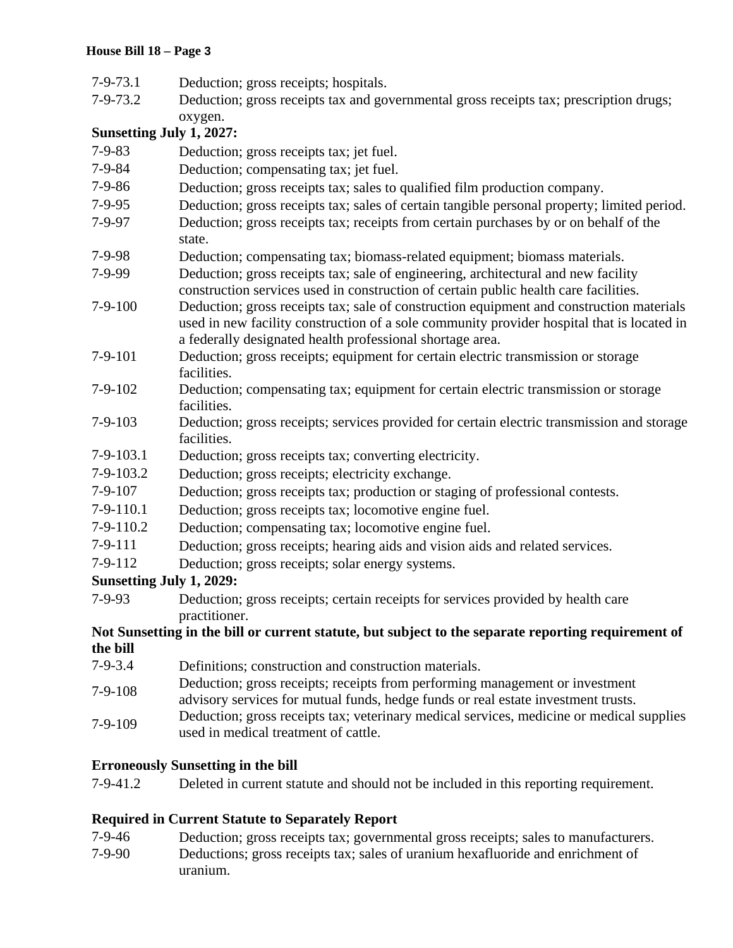| $7 - 9 - 73.1$                  | Deduction; gross receipts; hospitals.                                                                                                                                                                                 |
|---------------------------------|-----------------------------------------------------------------------------------------------------------------------------------------------------------------------------------------------------------------------|
| $7 - 9 - 73.2$                  | Deduction; gross receipts tax and governmental gross receipts tax; prescription drugs;                                                                                                                                |
|                                 | oxygen.                                                                                                                                                                                                               |
| Sunsetting July 1, 2027:        |                                                                                                                                                                                                                       |
| $7 - 9 - 83$                    | Deduction; gross receipts tax; jet fuel.                                                                                                                                                                              |
| 7-9-84                          | Deduction; compensating tax; jet fuel.                                                                                                                                                                                |
| $7 - 9 - 86$                    | Deduction; gross receipts tax; sales to qualified film production company.                                                                                                                                            |
| $7 - 9 - 95$                    | Deduction; gross receipts tax; sales of certain tangible personal property; limited period.                                                                                                                           |
| 7-9-97                          | Deduction; gross receipts tax; receipts from certain purchases by or on behalf of the                                                                                                                                 |
|                                 | state.                                                                                                                                                                                                                |
| $7-9-98$                        | Deduction; compensating tax; biomass-related equipment; biomass materials.                                                                                                                                            |
| 7-9-99                          | Deduction; gross receipts tax; sale of engineering, architectural and new facility<br>construction services used in construction of certain public health care facilities.                                            |
| $7-9-100$                       | Deduction; gross receipts tax; sale of construction equipment and construction materials                                                                                                                              |
|                                 | used in new facility construction of a sole community provider hospital that is located in                                                                                                                            |
|                                 | a federally designated health professional shortage area.                                                                                                                                                             |
| $7-9-101$                       | Deduction; gross receipts; equipment for certain electric transmission or storage<br>facilities.                                                                                                                      |
| $7 - 9 - 102$                   | Deduction; compensating tax; equipment for certain electric transmission or storage                                                                                                                                   |
|                                 | facilities.                                                                                                                                                                                                           |
| $7 - 9 - 103$                   | Deduction; gross receipts; services provided for certain electric transmission and storage<br>facilities.                                                                                                             |
| $7-9-103.1$                     | Deduction; gross receipts tax; converting electricity.                                                                                                                                                                |
| $7-9-103.2$                     | Deduction; gross receipts; electricity exchange.                                                                                                                                                                      |
| $7-9-107$                       | Deduction; gross receipts tax; production or staging of professional contests.                                                                                                                                        |
| $7-9-110.1$                     | Deduction; gross receipts tax; locomotive engine fuel.                                                                                                                                                                |
| $7-9-110.2$                     | Deduction; compensating tax; locomotive engine fuel.                                                                                                                                                                  |
| $7-9-111$                       | Deduction; gross receipts; hearing aids and vision aids and related services.                                                                                                                                         |
| $7 - 9 - 112$                   | Deduction; gross receipts; solar energy systems.                                                                                                                                                                      |
| <b>Sunsetting July 1, 2029:</b> |                                                                                                                                                                                                                       |
| $7 - 9 - 93$                    | Deduction; gross receipts; certain receipts for services provided by health care                                                                                                                                      |
|                                 | practitioner.                                                                                                                                                                                                         |
|                                 | Not Sunsetting in the bill or current statute, but subject to the separate reporting requirement of                                                                                                                   |
| the bill                        |                                                                                                                                                                                                                       |
| $7 - 9 - 3.4$                   | Definitions; construction and construction materials.                                                                                                                                                                 |
| $7-9-108$                       | Deduction; gross receipts; receipts from performing management or investment                                                                                                                                          |
| $7-9-109$                       | advisory services for mutual funds, hedge funds or real estate investment trusts.<br>Deduction; gross receipts tax; veterinary medical services, medicine or medical supplies<br>used in medical treatment of cattle. |

# **Erroneously Sunsetting in the bill**

| 7-9-41.2 | Deleted in current statute and should not be included in this reporting requirement. |
|----------|--------------------------------------------------------------------------------------|
|----------|--------------------------------------------------------------------------------------|

# **Required in Current Statute to Separately Report**

- 7-9-46 Deduction; gross receipts tax; governmental gross receipts; sales to manufacturers.
- 7-9-90 Deductions; gross receipts tax; sales of uranium hexafluoride and enrichment of uranium.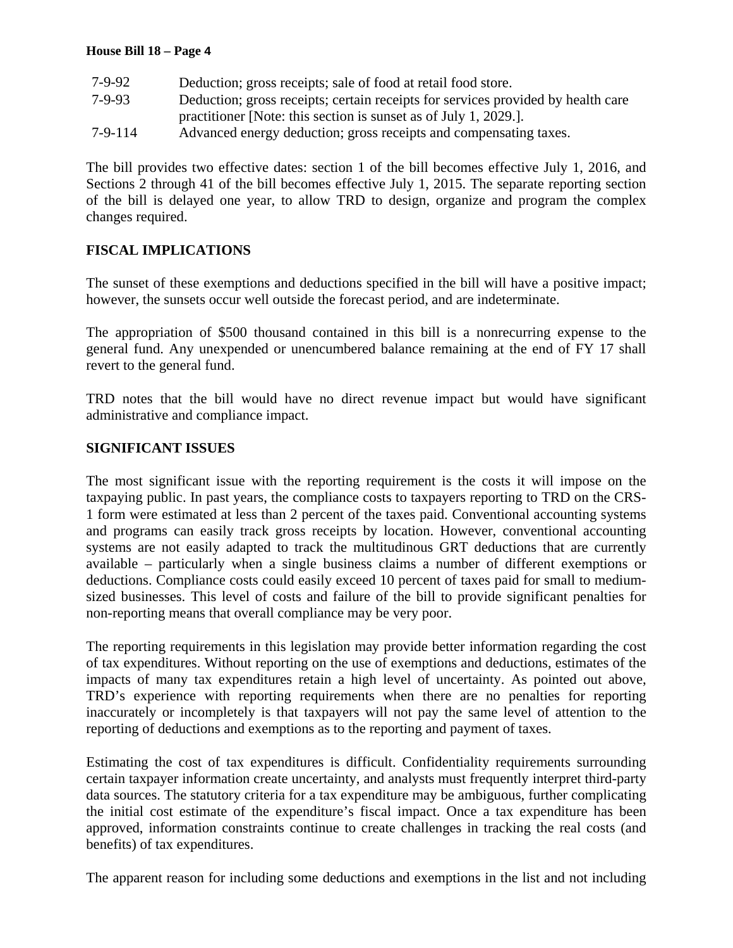| 7-9-92    | Deduction; gross receipts; sale of food at retail food store.                    |
|-----------|----------------------------------------------------------------------------------|
| $7-9-93$  | Deduction; gross receipts; certain receipts for services provided by health care |
|           | practitioner [Note: this section is sunset as of July 1, 2029.].                 |
| $7-9-114$ | Advanced energy deduction; gross receipts and compensating taxes.                |

The bill provides two effective dates: section 1 of the bill becomes effective July 1, 2016, and Sections 2 through 41 of the bill becomes effective July 1, 2015. The separate reporting section of the bill is delayed one year, to allow TRD to design, organize and program the complex changes required.

## **FISCAL IMPLICATIONS**

The sunset of these exemptions and deductions specified in the bill will have a positive impact; however, the sunsets occur well outside the forecast period, and are indeterminate.

The appropriation of \$500 thousand contained in this bill is a nonrecurring expense to the general fund. Any unexpended or unencumbered balance remaining at the end of FY 17 shall revert to the general fund.

TRD notes that the bill would have no direct revenue impact but would have significant administrative and compliance impact.

### **SIGNIFICANT ISSUES**

The most significant issue with the reporting requirement is the costs it will impose on the taxpaying public. In past years, the compliance costs to taxpayers reporting to TRD on the CRS-1 form were estimated at less than 2 percent of the taxes paid. Conventional accounting systems and programs can easily track gross receipts by location. However, conventional accounting systems are not easily adapted to track the multitudinous GRT deductions that are currently available – particularly when a single business claims a number of different exemptions or deductions. Compliance costs could easily exceed 10 percent of taxes paid for small to mediumsized businesses. This level of costs and failure of the bill to provide significant penalties for non-reporting means that overall compliance may be very poor.

The reporting requirements in this legislation may provide better information regarding the cost of tax expenditures. Without reporting on the use of exemptions and deductions, estimates of the impacts of many tax expenditures retain a high level of uncertainty. As pointed out above, TRD's experience with reporting requirements when there are no penalties for reporting inaccurately or incompletely is that taxpayers will not pay the same level of attention to the reporting of deductions and exemptions as to the reporting and payment of taxes.

Estimating the cost of tax expenditures is difficult. Confidentiality requirements surrounding certain taxpayer information create uncertainty, and analysts must frequently interpret third-party data sources. The statutory criteria for a tax expenditure may be ambiguous, further complicating the initial cost estimate of the expenditure's fiscal impact. Once a tax expenditure has been approved, information constraints continue to create challenges in tracking the real costs (and benefits) of tax expenditures.

The apparent reason for including some deductions and exemptions in the list and not including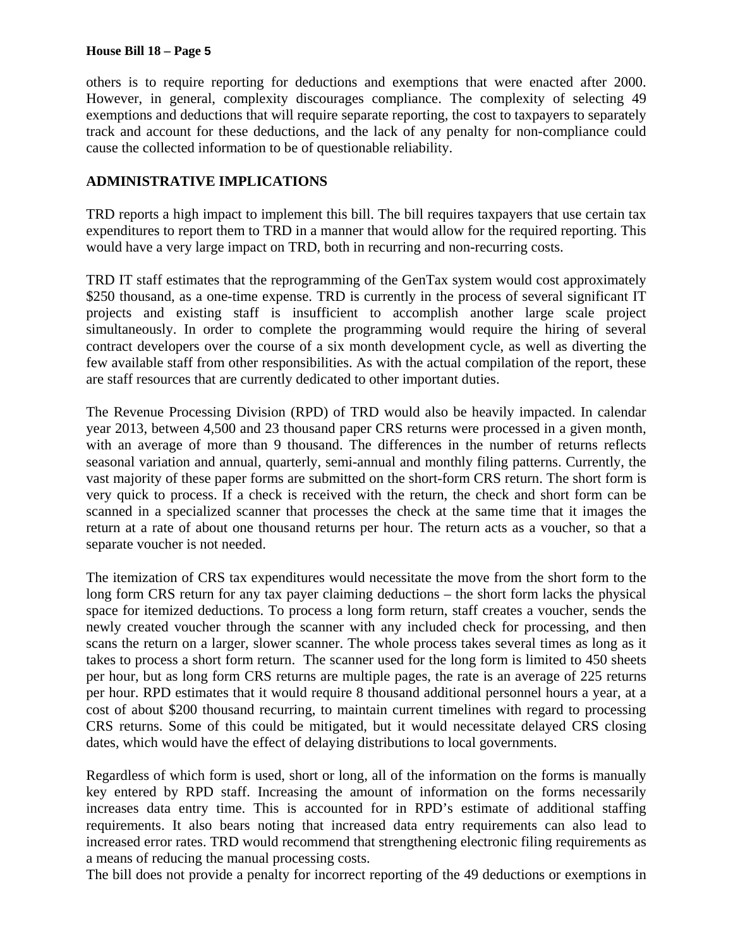others is to require reporting for deductions and exemptions that were enacted after 2000. However, in general, complexity discourages compliance. The complexity of selecting 49 exemptions and deductions that will require separate reporting, the cost to taxpayers to separately track and account for these deductions, and the lack of any penalty for non-compliance could cause the collected information to be of questionable reliability.

## **ADMINISTRATIVE IMPLICATIONS**

TRD reports a high impact to implement this bill. The bill requires taxpayers that use certain tax expenditures to report them to TRD in a manner that would allow for the required reporting. This would have a very large impact on TRD, both in recurring and non-recurring costs.

TRD IT staff estimates that the reprogramming of the GenTax system would cost approximately \$250 thousand, as a one-time expense. TRD is currently in the process of several significant IT projects and existing staff is insufficient to accomplish another large scale project simultaneously. In order to complete the programming would require the hiring of several contract developers over the course of a six month development cycle, as well as diverting the few available staff from other responsibilities. As with the actual compilation of the report, these are staff resources that are currently dedicated to other important duties.

The Revenue Processing Division (RPD) of TRD would also be heavily impacted. In calendar year 2013, between 4,500 and 23 thousand paper CRS returns were processed in a given month, with an average of more than 9 thousand. The differences in the number of returns reflects seasonal variation and annual, quarterly, semi-annual and monthly filing patterns. Currently, the vast majority of these paper forms are submitted on the short-form CRS return. The short form is very quick to process. If a check is received with the return, the check and short form can be scanned in a specialized scanner that processes the check at the same time that it images the return at a rate of about one thousand returns per hour. The return acts as a voucher, so that a separate voucher is not needed.

The itemization of CRS tax expenditures would necessitate the move from the short form to the long form CRS return for any tax payer claiming deductions – the short form lacks the physical space for itemized deductions. To process a long form return, staff creates a voucher, sends the newly created voucher through the scanner with any included check for processing, and then scans the return on a larger, slower scanner. The whole process takes several times as long as it takes to process a short form return. The scanner used for the long form is limited to 450 sheets per hour, but as long form CRS returns are multiple pages, the rate is an average of 225 returns per hour. RPD estimates that it would require 8 thousand additional personnel hours a year, at a cost of about \$200 thousand recurring, to maintain current timelines with regard to processing CRS returns. Some of this could be mitigated, but it would necessitate delayed CRS closing dates, which would have the effect of delaying distributions to local governments.

Regardless of which form is used, short or long, all of the information on the forms is manually key entered by RPD staff. Increasing the amount of information on the forms necessarily increases data entry time. This is accounted for in RPD's estimate of additional staffing requirements. It also bears noting that increased data entry requirements can also lead to increased error rates. TRD would recommend that strengthening electronic filing requirements as a means of reducing the manual processing costs.

The bill does not provide a penalty for incorrect reporting of the 49 deductions or exemptions in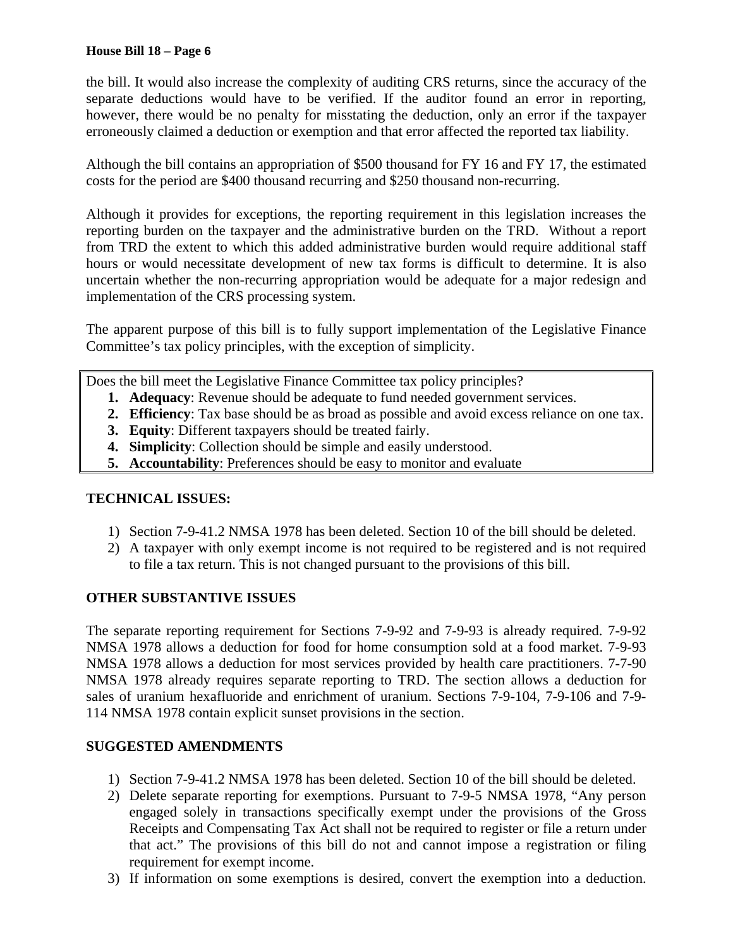the bill. It would also increase the complexity of auditing CRS returns, since the accuracy of the separate deductions would have to be verified. If the auditor found an error in reporting, however, there would be no penalty for misstating the deduction, only an error if the taxpayer erroneously claimed a deduction or exemption and that error affected the reported tax liability.

Although the bill contains an appropriation of \$500 thousand for FY 16 and FY 17, the estimated costs for the period are \$400 thousand recurring and \$250 thousand non-recurring.

Although it provides for exceptions, the reporting requirement in this legislation increases the reporting burden on the taxpayer and the administrative burden on the TRD. Without a report from TRD the extent to which this added administrative burden would require additional staff hours or would necessitate development of new tax forms is difficult to determine. It is also uncertain whether the non-recurring appropriation would be adequate for a major redesign and implementation of the CRS processing system.

The apparent purpose of this bill is to fully support implementation of the Legislative Finance Committee's tax policy principles, with the exception of simplicity.

Does the bill meet the Legislative Finance Committee tax policy principles?

- **1. Adequacy**: Revenue should be adequate to fund needed government services.
- **2. Efficiency**: Tax base should be as broad as possible and avoid excess reliance on one tax.
- **3. Equity**: Different taxpayers should be treated fairly.
- **4. Simplicity**: Collection should be simple and easily understood.
- **5. Accountability**: Preferences should be easy to monitor and evaluate

## **TECHNICAL ISSUES:**

- 1) Section 7-9-41.2 NMSA 1978 has been deleted. Section 10 of the bill should be deleted.
- 2) A taxpayer with only exempt income is not required to be registered and is not required to file a tax return. This is not changed pursuant to the provisions of this bill.

# **OTHER SUBSTANTIVE ISSUES**

The separate reporting requirement for Sections 7-9-92 and 7-9-93 is already required. 7-9-92 NMSA 1978 allows a deduction for food for home consumption sold at a food market. 7-9-93 NMSA 1978 allows a deduction for most services provided by health care practitioners. 7-7-90 NMSA 1978 already requires separate reporting to TRD. The section allows a deduction for sales of uranium hexafluoride and enrichment of uranium. Sections 7-9-104, 7-9-106 and 7-9- 114 NMSA 1978 contain explicit sunset provisions in the section.

# **SUGGESTED AMENDMENTS**

- 1) Section 7-9-41.2 NMSA 1978 has been deleted. Section 10 of the bill should be deleted.
- 2) Delete separate reporting for exemptions. Pursuant to 7-9-5 NMSA 1978, "Any person engaged solely in transactions specifically exempt under the provisions of the Gross Receipts and Compensating Tax Act shall not be required to register or file a return under that act." The provisions of this bill do not and cannot impose a registration or filing requirement for exempt income.
- 3) If information on some exemptions is desired, convert the exemption into a deduction.